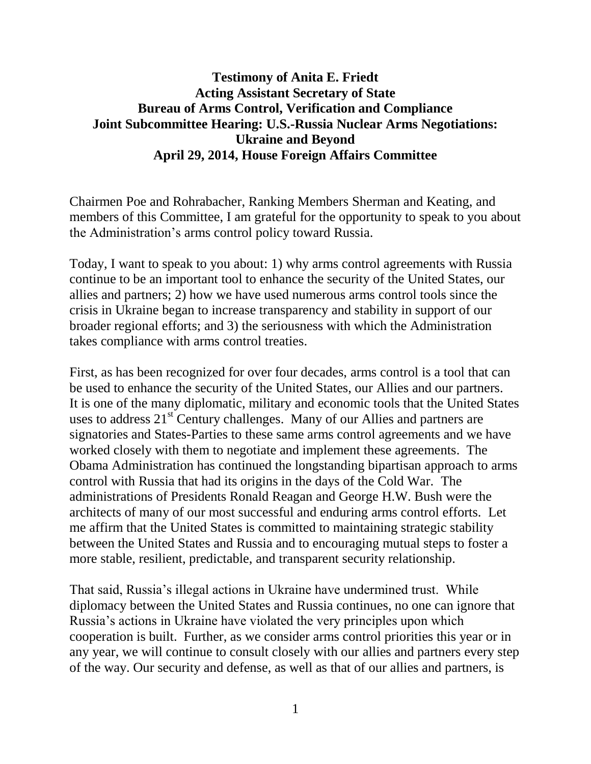# **Testimony of Anita E. Friedt Acting Assistant Secretary of State Bureau of Arms Control, Verification and Compliance Joint Subcommittee Hearing: U.S.-Russia Nuclear Arms Negotiations: Ukraine and Beyond April 29, 2014, House Foreign Affairs Committee**

Chairmen Poe and Rohrabacher, Ranking Members Sherman and Keating, and members of this Committee, I am grateful for the opportunity to speak to you about the Administration's arms control policy toward Russia.

Today, I want to speak to you about: 1) why arms control agreements with Russia continue to be an important tool to enhance the security of the United States, our allies and partners; 2) how we have used numerous arms control tools since the crisis in Ukraine began to increase transparency and stability in support of our broader regional efforts; and 3) the seriousness with which the Administration takes compliance with arms control treaties.

First, as has been recognized for over four decades, arms control is a tool that can be used to enhance the security of the United States, our Allies and our partners. It is one of the many diplomatic, military and economic tools that the United States uses to address  $21<sup>st</sup>$  Century challenges. Many of our Allies and partners are signatories and States-Parties to these same arms control agreements and we have worked closely with them to negotiate and implement these agreements. The Obama Administration has continued the longstanding bipartisan approach to arms control with Russia that had its origins in the days of the Cold War. The administrations of Presidents Ronald Reagan and George H.W. Bush were the architects of many of our most successful and enduring arms control efforts. Let me affirm that the United States is committed to maintaining strategic stability between the United States and Russia and to encouraging mutual steps to foster a more stable, resilient, predictable, and transparent security relationship.

That said, Russia's illegal actions in Ukraine have undermined trust. While diplomacy between the United States and Russia continues, no one can ignore that Russia's actions in Ukraine have violated the very principles upon which cooperation is built. Further, as we consider arms control priorities this year or in any year, we will continue to consult closely with our allies and partners every step of the way. Our security and defense, as well as that of our allies and partners, is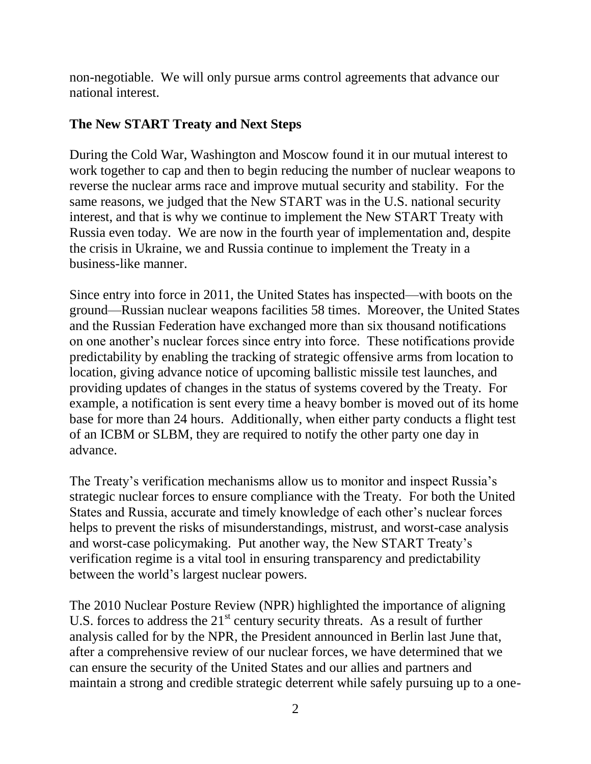non-negotiable. We will only pursue arms control agreements that advance our national interest.

### **The New START Treaty and Next Steps**

During the Cold War, Washington and Moscow found it in our mutual interest to work together to cap and then to begin reducing the number of nuclear weapons to reverse the nuclear arms race and improve mutual security and stability. For the same reasons, we judged that the New START was in the U.S. national security interest, and that is why we continue to implement the New START Treaty with Russia even today. We are now in the fourth year of implementation and, despite the crisis in Ukraine, we and Russia continue to implement the Treaty in a business-like manner.

Since entry into force in 2011, the United States has inspected—with boots on the ground—Russian nuclear weapons facilities 58 times. Moreover, the United States and the Russian Federation have exchanged more than six thousand notifications on one another's nuclear forces since entry into force. These notifications provide predictability by enabling the tracking of strategic offensive arms from location to location, giving advance notice of upcoming ballistic missile test launches, and providing updates of changes in the status of systems covered by the Treaty. For example, a notification is sent every time a heavy bomber is moved out of its home base for more than 24 hours. Additionally, when either party conducts a flight test of an ICBM or SLBM, they are required to notify the other party one day in advance.

The Treaty's verification mechanisms allow us to monitor and inspect Russia's strategic nuclear forces to ensure compliance with the Treaty. For both the United States and Russia, accurate and timely knowledge of each other's nuclear forces helps to prevent the risks of misunderstandings, mistrust, and worst-case analysis and worst-case policymaking. Put another way, the New START Treaty's verification regime is a vital tool in ensuring transparency and predictability between the world's largest nuclear powers.

The 2010 Nuclear Posture Review (NPR) highlighted the importance of aligning U.S. forces to address the  $21<sup>st</sup>$  century security threats. As a result of further analysis called for by the NPR, the President announced in Berlin last June that, after a comprehensive review of our nuclear forces, we have determined that we can ensure the security of the United States and our allies and partners and maintain a strong and credible strategic deterrent while safely pursuing up to a one-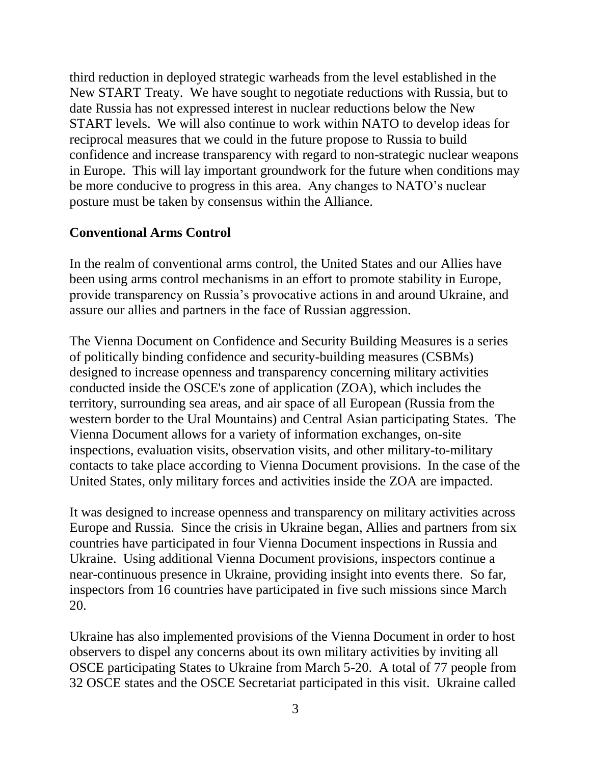third reduction in deployed strategic warheads from the level established in the New START Treaty. We have sought to negotiate reductions with Russia, but to date Russia has not expressed interest in nuclear reductions below the New START levels. We will also continue to work within NATO to develop ideas for reciprocal measures that we could in the future propose to Russia to build confidence and increase transparency with regard to non-strategic nuclear weapons in Europe. This will lay important groundwork for the future when conditions may be more conducive to progress in this area. Any changes to NATO's nuclear posture must be taken by consensus within the Alliance.

#### **Conventional Arms Control**

In the realm of conventional arms control, the United States and our Allies have been using arms control mechanisms in an effort to promote stability in Europe, provide transparency on Russia's provocative actions in and around Ukraine, and assure our allies and partners in the face of Russian aggression.

The Vienna Document on Confidence and Security Building Measures is a series of politically binding confidence and security-building measures (CSBMs) designed to increase openness and transparency concerning military activities conducted inside the OSCE's zone of application (ZOA), which includes the territory, surrounding sea areas, and air space of all European (Russia from the western border to the Ural Mountains) and Central Asian participating States. The Vienna Document allows for a variety of information exchanges, on-site inspections, evaluation visits, observation visits, and other military-to-military contacts to take place according to Vienna Document provisions. In the case of the United States, only military forces and activities inside the ZOA are impacted.

It was designed to increase openness and transparency on military activities across Europe and Russia. Since the crisis in Ukraine began, Allies and partners from six countries have participated in four Vienna Document inspections in Russia and Ukraine. Using additional Vienna Document provisions, inspectors continue a near-continuous presence in Ukraine, providing insight into events there. So far, inspectors from 16 countries have participated in five such missions since March 20.

Ukraine has also implemented provisions of the Vienna Document in order to host observers to dispel any concerns about its own military activities by inviting all OSCE participating States to Ukraine from March 5-20. A total of 77 people from 32 OSCE states and the OSCE Secretariat participated in this visit. Ukraine called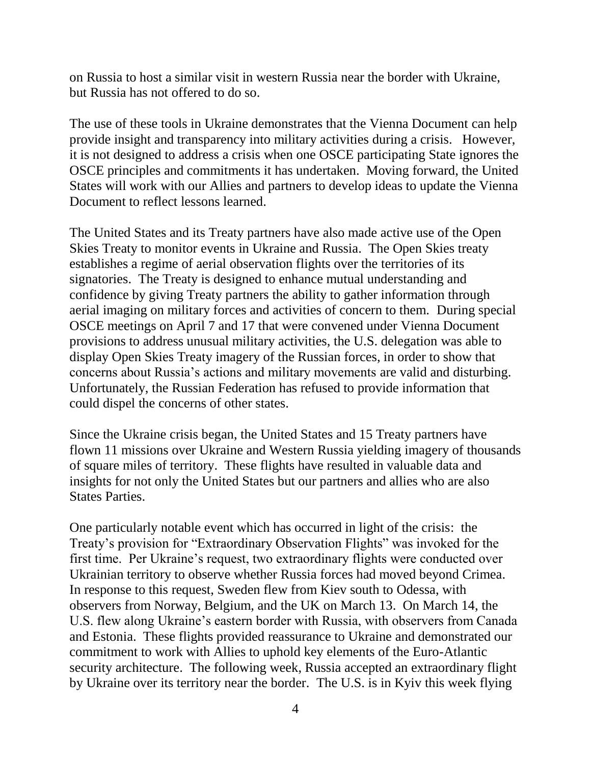on Russia to host a similar visit in western Russia near the border with Ukraine, but Russia has not offered to do so.

The use of these tools in Ukraine demonstrates that the Vienna Document can help provide insight and transparency into military activities during a crisis. However, it is not designed to address a crisis when one OSCE participating State ignores the OSCE principles and commitments it has undertaken. Moving forward, the United States will work with our Allies and partners to develop ideas to update the Vienna Document to reflect lessons learned.

The United States and its Treaty partners have also made active use of the Open Skies Treaty to monitor events in Ukraine and Russia. The Open Skies treaty establishes a regime of aerial observation flights over the territories of its signatories. The Treaty is designed to enhance mutual understanding and confidence by giving Treaty partners the ability to gather information through aerial imaging on military forces and activities of concern to them. During special OSCE meetings on April 7 and 17 that were convened under Vienna Document provisions to address unusual military activities, the U.S. delegation was able to display Open Skies Treaty imagery of the Russian forces, in order to show that concerns about Russia's actions and military movements are valid and disturbing. Unfortunately, the Russian Federation has refused to provide information that could dispel the concerns of other states.

Since the Ukraine crisis began, the United States and 15 Treaty partners have flown 11 missions over Ukraine and Western Russia yielding imagery of thousands of square miles of territory. These flights have resulted in valuable data and insights for not only the United States but our partners and allies who are also States Parties.

One particularly notable event which has occurred in light of the crisis: the Treaty's provision for "Extraordinary Observation Flights" was invoked for the first time. Per Ukraine's request, two extraordinary flights were conducted over Ukrainian territory to observe whether Russia forces had moved beyond Crimea. In response to this request, Sweden flew from Kiev south to Odessa, with observers from Norway, Belgium, and the UK on March 13. On March 14, the U.S. flew along Ukraine's eastern border with Russia, with observers from Canada and Estonia. These flights provided reassurance to Ukraine and demonstrated our commitment to work with Allies to uphold key elements of the Euro-Atlantic security architecture. The following week, Russia accepted an extraordinary flight by Ukraine over its territory near the border. The U.S. is in Kyiv this week flying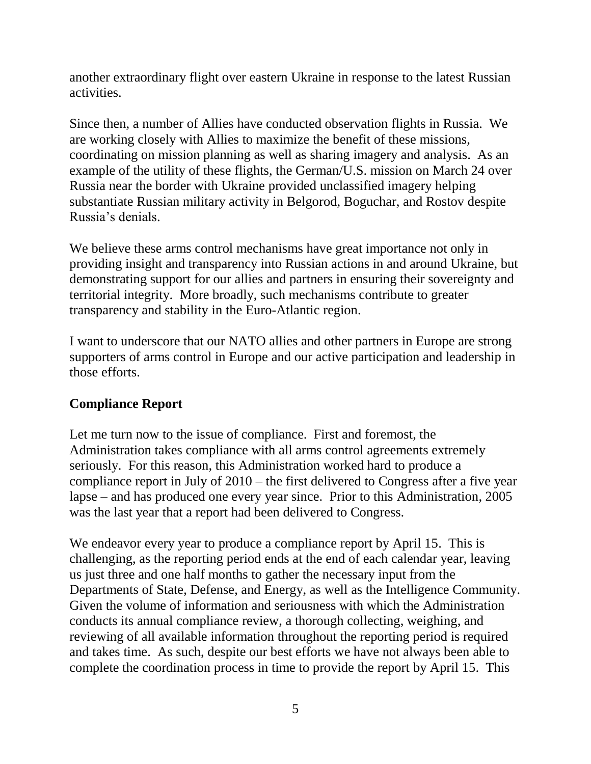another extraordinary flight over eastern Ukraine in response to the latest Russian activities.

Since then, a number of Allies have conducted observation flights in Russia. We are working closely with Allies to maximize the benefit of these missions, coordinating on mission planning as well as sharing imagery and analysis. As an example of the utility of these flights, the German/U.S. mission on March 24 over Russia near the border with Ukraine provided unclassified imagery helping substantiate Russian military activity in Belgorod, Boguchar, and Rostov despite Russia's denials.

We believe these arms control mechanisms have great importance not only in providing insight and transparency into Russian actions in and around Ukraine, but demonstrating support for our allies and partners in ensuring their sovereignty and territorial integrity. More broadly, such mechanisms contribute to greater transparency and stability in the Euro-Atlantic region.

I want to underscore that our NATO allies and other partners in Europe are strong supporters of arms control in Europe and our active participation and leadership in those efforts.

# **Compliance Report**

Let me turn now to the issue of compliance. First and foremost, the Administration takes compliance with all arms control agreements extremely seriously. For this reason, this Administration worked hard to produce a compliance report in July of 2010 – the first delivered to Congress after a five year lapse – and has produced one every year since. Prior to this Administration, 2005 was the last year that a report had been delivered to Congress.

We endeavor every year to produce a compliance report by April 15. This is challenging, as the reporting period ends at the end of each calendar year, leaving us just three and one half months to gather the necessary input from the Departments of State, Defense, and Energy, as well as the Intelligence Community. Given the volume of information and seriousness with which the Administration conducts its annual compliance review, a thorough collecting, weighing, and reviewing of all available information throughout the reporting period is required and takes time. As such, despite our best efforts we have not always been able to complete the coordination process in time to provide the report by April 15. This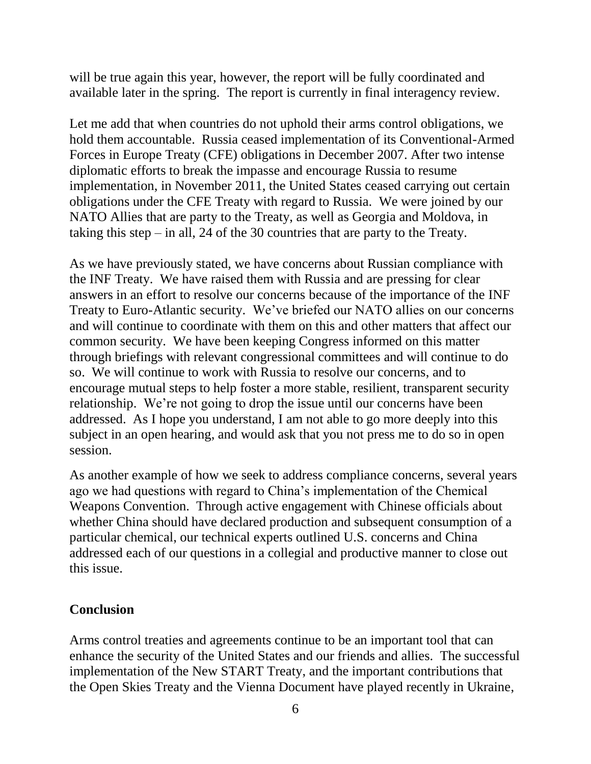will be true again this year, however, the report will be fully coordinated and available later in the spring. The report is currently in final interagency review.

Let me add that when countries do not uphold their arms control obligations, we hold them accountable. Russia ceased implementation of its Conventional-Armed Forces in Europe Treaty (CFE) obligations in December 2007. After two intense diplomatic efforts to break the impasse and encourage Russia to resume implementation, in November 2011, the United States ceased carrying out certain obligations under the CFE Treaty with regard to Russia. We were joined by our NATO Allies that are party to the Treaty, as well as Georgia and Moldova, in taking this step – in all, 24 of the 30 countries that are party to the Treaty.

As we have previously stated, we have concerns about Russian compliance with the INF Treaty. We have raised them with Russia and are pressing for clear answers in an effort to resolve our concerns because of the importance of the INF Treaty to Euro-Atlantic security. We've briefed our NATO allies on our concerns and will continue to coordinate with them on this and other matters that affect our common security. We have been keeping Congress informed on this matter through briefings with relevant congressional committees and will continue to do so. We will continue to work with Russia to resolve our concerns, and to encourage mutual steps to help foster a more stable, resilient, transparent security relationship. We're not going to drop the issue until our concerns have been addressed. As I hope you understand, I am not able to go more deeply into this subject in an open hearing, and would ask that you not press me to do so in open session.

As another example of how we seek to address compliance concerns, several years ago we had questions with regard to China's implementation of the Chemical Weapons Convention. Through active engagement with Chinese officials about whether China should have declared production and subsequent consumption of a particular chemical, our technical experts outlined U.S. concerns and China addressed each of our questions in a collegial and productive manner to close out this issue.

# **Conclusion**

Arms control treaties and agreements continue to be an important tool that can enhance the security of the United States and our friends and allies. The successful implementation of the New START Treaty, and the important contributions that the Open Skies Treaty and the Vienna Document have played recently in Ukraine,